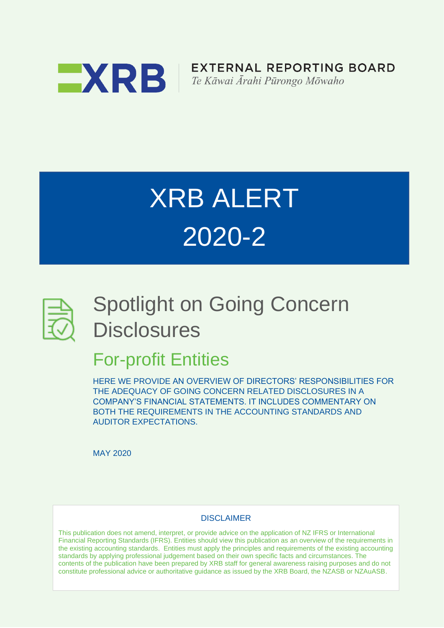

**EXTERNAL REPORTING BOARD** Te Kāwai Ārahi Pūrongo Mōwaho

# XRB ALERT 2020-2



## Spotlight on Going Concern **Disclosures**

### For-profit Entities

HERE WE PROVIDE AN OVERVIEW OF DIRECTORS' RESPONSIBILITIES FOR THE ADEQUACY OF GOING CONCERN RELATED DISCLOSURES IN A COMPANY'S FINANCIAL STATEMENTS. IT INCLUDES COMMENTARY ON BOTH THE REQUIREMENTS IN THE ACCOUNTING STANDARDS AND AUDITOR EXPECTATIONS.

MAY 2020

#### **DISCLAIMER**

This publication does not amend, interpret, or provide advice on the application of NZ IFRS or International Financial Reporting Standards (IFRS). Entities should view this publication as an overview of the requirements in the existing accounting standards. Entities must apply the principles and requirements of the existing accounting standards by applying professional judgement based on their own specific facts and circumstances. The contents of the publication have been prepared by XRB staff for general awareness raising purposes and do not constitute professional advice or authoritative guidance as issued by the XRB Board, the NZASB or NZAuASB.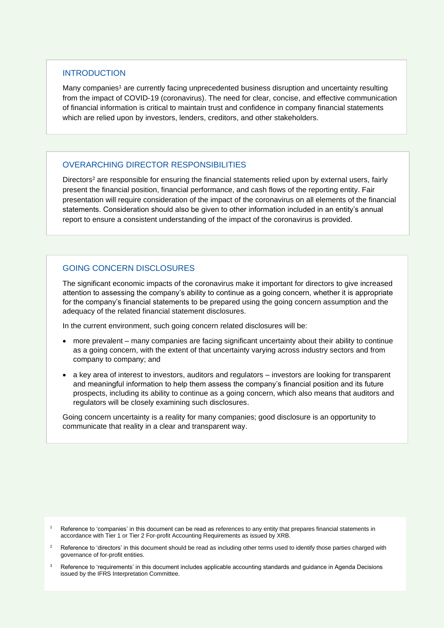#### **INTRODUCTION**

Many companies<sup>1</sup> are currently facing unprecedented business disruption and uncertainty resulting from the impact of COVID-19 (coronavirus). The need for clear, concise, and effective communication of financial information is critical to maintain trust and confidence in company financial statements which are relied upon by investors, lenders, creditors, and other stakeholders.

#### OVERARCHING DIRECTOR RESPONSIBILITIES

Directors<sup>2</sup> are responsible for ensuring the financial statements relied upon by external users, fairly present the financial position, financial performance, and cash flows of the reporting entity. Fair presentation will require consideration of the impact of the coronavirus on all elements of the financial statements. Consideration should also be given to other information included in an entity's annual report to ensure a consistent understanding of the impact of the coronavirus is provided.

#### GOING CONCERN DISCLOSURES

The significant economic impacts of the coronavirus make it important for directors to give increased attention to assessing the company's ability to continue as a going concern, whether it is appropriate for the company's financial statements to be prepared using the going concern assumption and the adequacy of the related financial statement disclosures.

In the current environment, such going concern related disclosures will be:

- more prevalent many companies are facing significant uncertainty about their ability to continue as a going concern, with the extent of that uncertainty varying across industry sectors and from company to company; and
- a key area of interest to investors, auditors and regulators investors are looking for transparent and meaningful information to help them assess the company's financial position and its future prospects, including its ability to continue as a going concern, which also means that auditors and regulators will be closely examining such disclosures.

Going concern uncertainty is a reality for many companies; good disclosure is an opportunity to communicate that reality in a clear and transparent way.

- Reference to 'companies' in this document can be read as references to any entity that prepares financial statements in accordance with Tier 1 or Tier 2 For-profit Accounting Requirements as issued by XRB.
- <sup>2</sup> Reference to 'directors' in this document should be read as including other terms used to identify those parties charged with governance of for-profit entities.
- <sup>3</sup> Reference to 'requirements' in this document includes applicable accounting standards and guidance in Agenda Decisions issued by the IFRS Interpretation Committee.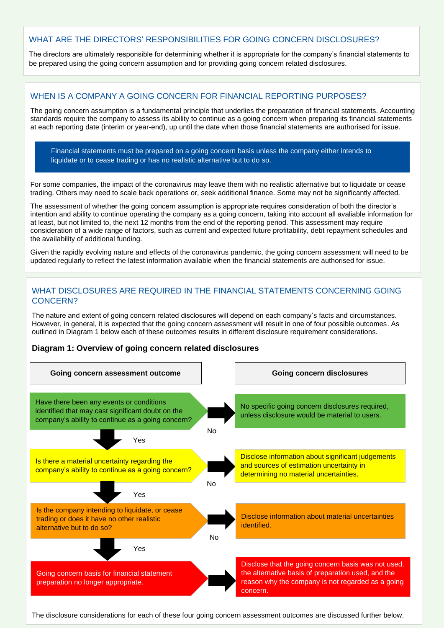#### WHAT ARE THE DIRECTORS' RESPONSIBILITIES FOR GOING CONCERN DISCLOSURES?

The directors are ultimately responsible for determining whether it is appropriate for the company's financial statements to be prepared using the going concern assumption and for providing going concern related disclosures.

#### WHEN IS A COMPANY A GOING CONCERN FOR FINANCIAL REPORTING PURPOSES?

The going concern assumption is a fundamental principle that underlies the preparation of financial statements. Accounting standards require the company to assess its ability to continue as a going concern when preparing its financial statements at each reporting date (interim or year-end), up until the date when those financial statements are authorised for issue.

Financial statements must be prepared on a going concern basis unless the company either intends to liquidate or to cease trading or has no realistic alternative but to do so.

For some companies, the impact of the coronavirus may leave them with no realistic alternative but to liquidate or cease trading. Others may need to scale back operations or, seek additional finance. Some may not be significantly affected.

The assessment of whether the going concern assumption is appropriate requires consideration of both the director's intention and ability to continue operating the company as a going concern, taking into account all avaliable information for at least, but not limited to, the next 12 months from the end of the reporting period. This assessment may require consideration of a wide range of factors, such as current and expected future profitability, debt repayment schedules and the availability of additional funding.

Given the rapidly evolving nature and effects of the coronavirus pandemic, the going concern assessment will need to be updated regularly to reflect the latest information available when the financial statements are authorised for issue.

#### WHAT DISCLOSURES ARE REQUIRED IN THE FINANCIAL STATEMENTS CONCERNING GOING CONCERN?

The nature and extent of going concern related disclosures will depend on each company's facts and circumstances. However, in general, it is expected that the going concern assessment will result in one of four possible outcomes. As outlined in Diagram 1 below each of these outcomes results in different disclosure requirement considerations.

#### **Diagram 1: Overview of going concern related disclosures**



The disclosure considerations for each of these four going concern assessment outcomes are discussed further below.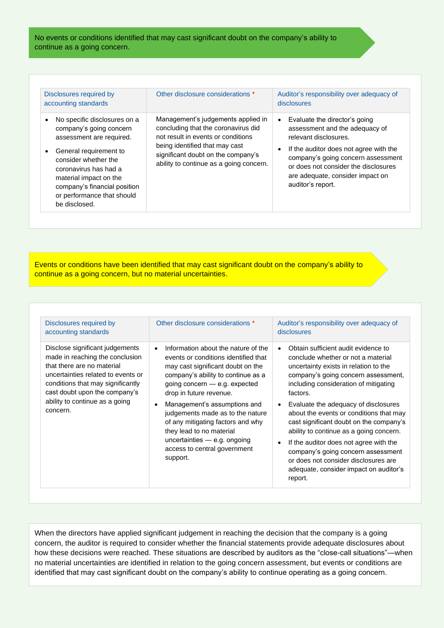No events or conditions identified that may cast significant doubt on the company's ability to continue as a going concern.

| Disclosures required by<br>accounting standards                                                                                                                                                                                                                         | Other disclosure considerations *                                                                                                                                                                                                  | Auditor's responsibility over adequacy of<br>disclosures                                                                                                                                                                                                                               |
|-------------------------------------------------------------------------------------------------------------------------------------------------------------------------------------------------------------------------------------------------------------------------|------------------------------------------------------------------------------------------------------------------------------------------------------------------------------------------------------------------------------------|----------------------------------------------------------------------------------------------------------------------------------------------------------------------------------------------------------------------------------------------------------------------------------------|
| No specific disclosures on a<br>company's going concern<br>assessment are required.<br>General requirement to<br>consider whether the<br>coronavirus has had a<br>material impact on the<br>company's financial position<br>or performance that should<br>be disclosed. | Management's judgements applied in<br>concluding that the coronavirus did<br>not result in events or conditions<br>being identified that may cast<br>significant doubt on the company's<br>ability to continue as a going concern. | Evaluate the director's going<br>$\bullet$<br>assessment and the adequacy of<br>relevant disclosures.<br>If the auditor does not agree with the<br>company's going concern assessment<br>or does not consider the disclosures<br>are adequate, consider impact on<br>auditor's report. |

Events or conditions have been identified that may cast significant doubt on the company's ability to continue as a going concern, but no material uncertainties.

| Disclosures required by<br>accounting standards                                                                                                                                                                                                            | Other disclosure considerations *                                                                                                                                                                                                                                                                                                                                                                                                                                 | Auditor's responsibility over adequacy of<br>disclosures                                                                                                                                                                                                                                                                                                                                                                                                                                                                                                                                                    |
|------------------------------------------------------------------------------------------------------------------------------------------------------------------------------------------------------------------------------------------------------------|-------------------------------------------------------------------------------------------------------------------------------------------------------------------------------------------------------------------------------------------------------------------------------------------------------------------------------------------------------------------------------------------------------------------------------------------------------------------|-------------------------------------------------------------------------------------------------------------------------------------------------------------------------------------------------------------------------------------------------------------------------------------------------------------------------------------------------------------------------------------------------------------------------------------------------------------------------------------------------------------------------------------------------------------------------------------------------------------|
| Disclose significant judgements<br>made in reaching the conclusion<br>that there are no material<br>uncertainties related to events or<br>conditions that may significantly<br>cast doubt upon the company's<br>ability to continue as a going<br>concern. | Information about the nature of the<br>$\bullet$<br>events or conditions identified that<br>may cast significant doubt on the<br>company's ability to continue as a<br>going concern $-$ e.g. expected<br>drop in future revenue.<br>Management's assumptions and<br>$\bullet$<br>judgements made as to the nature<br>of any mitigating factors and why<br>they lead to no material<br>uncertainties $-$ e.g. ongoing<br>access to central government<br>support. | Obtain sufficient audit evidence to<br>$\bullet$<br>conclude whether or not a material<br>uncertainty exists in relation to the<br>company's going concern assessment,<br>including consideration of mitigating<br>factors.<br>Evaluate the adequacy of disclosures<br>$\bullet$<br>about the events or conditions that may<br>cast significant doubt on the company's<br>ability to continue as a going concern.<br>If the auditor does not agree with the<br>$\bullet$<br>company's going concern assessment<br>or does not consider disclosures are<br>adequate, consider impact on auditor's<br>report. |

When the directors have applied significant judgement in reaching the decision that the company is a going concern, the auditor is required to consider whether the financial statements provide adequate disclosures about how these decisions were reached. These situations are described by auditors as the "close-call situations"—when no material uncertainties are identified in relation to the going concern assessment, but events or conditions are identified that may cast significant doubt on the company's ability to continue operating as a going concern.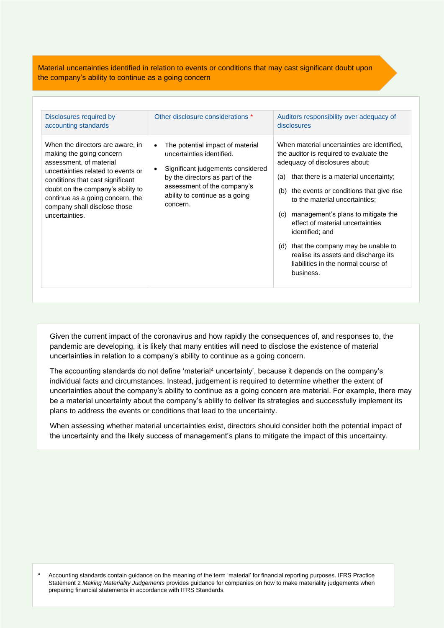Material uncertainties identified in relation to events or conditions that may cast significant doubt upon the company's ability to continue as a going concern

| Other disclosure considerations *<br>Disclosures required by<br>accounting standards                                                                                                                                                                                                                                                                                                                                                                                                                                                         | Auditors responsibility over adequacy of<br>disclosures                                                                                                                                                                                                                                                                                                                                                                                                                                                  |
|----------------------------------------------------------------------------------------------------------------------------------------------------------------------------------------------------------------------------------------------------------------------------------------------------------------------------------------------------------------------------------------------------------------------------------------------------------------------------------------------------------------------------------------------|----------------------------------------------------------------------------------------------------------------------------------------------------------------------------------------------------------------------------------------------------------------------------------------------------------------------------------------------------------------------------------------------------------------------------------------------------------------------------------------------------------|
| When the directors are aware, in<br>The potential impact of material<br>$\bullet$<br>making the going concern<br>uncertainties identified.<br>assessment, of material<br>Significant judgements considered<br>$\bullet$<br>uncertainties related to events or<br>by the directors as part of the<br>conditions that cast significant<br>assessment of the company's<br>doubt on the company's ability to<br>ability to continue as a going<br>continue as a going concern, the<br>concern.<br>company shall disclose those<br>uncertainties. | When material uncertainties are identified,<br>the auditor is required to evaluate the<br>adequacy of disclosures about:<br>that there is a material uncertainty;<br>(a)<br>the events or conditions that give rise<br>(b)<br>to the material uncertainties;<br>management's plans to mitigate the<br>(C)<br>effect of material uncertainties<br>identified; and<br>that the company may be unable to<br>(d)<br>realise its assets and discharge its<br>liabilities in the normal course of<br>business. |

Given the current impact of the coronavirus and how rapidly the consequences of, and responses to, the pandemic are developing, it is likely that many entities will need to disclose the existence of material uncertainties in relation to a company's ability to continue as a going concern.

The accounting standards do not define 'material<sup>4</sup> uncertainty', because it depends on the company's individual facts and circumstances. Instead, judgement is required to determine whether the extent of uncertainties about the company's ability to continue as a going concern are material. For example, there may be a material uncertainty about the company's ability to deliver its strategies and successfully implement its plans to address the events or conditions that lead to the uncertainty.

When assessing whether material uncertainties exist, directors should consider both the potential impact of the uncertainty and the likely success of management's plans to mitigate the impact of this uncertainty.

<sup>4</sup> Accounting standards contain guidance on the meaning of the term 'material' for financial reporting purposes. IFRS Practice Statement 2 *Making Materiality Judgements* provides guidance for companies on how to make materiality judgements when preparing financial statements in accordance with IFRS Standards.